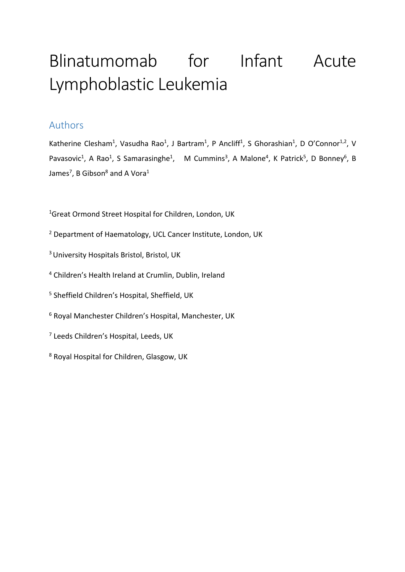# Blinatumomab for Infant Acute Lymphoblastic Leukemia

## Authors

Katherine Clesham<sup>1</sup>, Vasudha Rao<sup>1</sup>, J Bartram<sup>1</sup>, P Ancliff<sup>1</sup>, S Ghorashian<sup>1</sup>, D O'Connor<sup>1,2</sup>, V Pavasovic<sup>1</sup>, A Rao<sup>1</sup>, S Samarasinghe<sup>1</sup>, M Cummins<sup>3</sup>, A Malone<sup>4</sup>, K Patrick<sup>5</sup>, D Bonney<sup>6</sup>, B James<sup>7</sup>, B Gibson<sup>8</sup> and A Vora<sup>1</sup>

<sup>1</sup>Great Ormond Street Hospital for Children, London, UK

- <sup>2</sup> Department of Haematology, UCL Cancer Institute, London, UK
- 3 University Hospitals Bristol, Bristol, UK
- <sup>4</sup> Children's Health Ireland at Crumlin, Dublin, Ireland
- <sup>5</sup> Sheffield Children's Hospital, Sheffield, UK
- <sup>6</sup> Royal Manchester Children's Hospital, Manchester, UK
- <sup>7</sup> Leeds Children's Hospital, Leeds, UK
- <sup>8</sup> Royal Hospital for Children, Glasgow, UK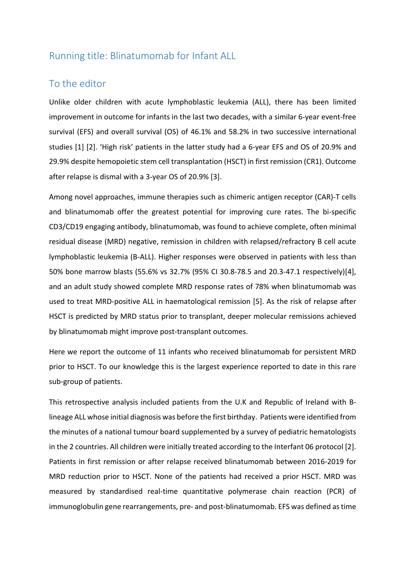#### Running title: Blinatumomab for Infant ALL

#### To the editor

Unlike older children with acute lymphoblastic leukemia (ALL), there has been limited improvement in outcome for infants in the last two decades, with a similar 6-year event-free survival (EFS) and overall survival (OS) of 46.1% and 58.2% in two successive international studies [1] [2]. 'High risk' patients in the latter study had a 6-year EFS and OS of 20.9% and 29.9% despite hemopoietic stem cell transplantation (HSCT) in first remission (CR1). Outcome after relapse is dismal with a 3-year OS of 20.9% [3].

Among novel approaches, immune therapies such as chimeric antigen receptor (CAR)-T cells and blinatumomab offer the greatest potential for improving cure rates. The bi-specific CD3/CD19 engaging antibody, blinatumomab, was found to achieve complete, often minimal residual disease (MRD) negative, remission in children with relapsed/refractory B cell acute lymphoblastic leukemia (B-ALL). Higher responses were observed in patients with less than 50% bone marrow blasts (55.6% vs 32.7% (95% CI 30.8-78.5 and 20.3-47.1 respectively)[4], and an adult study showed complete MRD response rates of 78% when blinatumomab was used to treat MRD-positive ALL in haematological remission [5]. As the risk of relapse after HSCT is predicted by MRD status prior to transplant, deeper molecular remissions achieved by blinatumomab might improve post-transplant outcomes.

Here we report the outcome of 11 infants who received blinatumomab for persistent MRD prior to HSCT. To our knowledge this is the largest experience reported to date in this rare sub-group of patients.

This retrospective analysis included patients from the U.K and Republic of Ireland with Blineage ALL whose initial diagnosis was before the first birthday. Patients were identified from the minutes of a national tumour board supplemented by a survey of pediatric hematologists in the 2 countries. All children were initially treated according to the Interfant 06 protocol [2]. Patients in first remission or after relapse received blinatumomab between 2016-2019 for MRD reduction prior to HSCT. None of the patients had received a prior HSCT. MRD was measured by standardised real-time quantitative polymerase chain reaction (PCR) of immunoglobulin gene rearrangements, pre- and post-blinatumomab. EFS was defined as time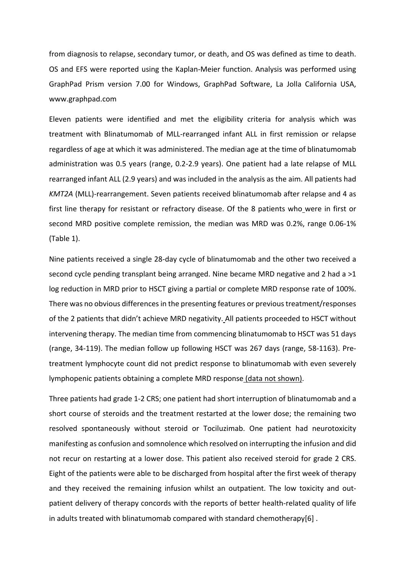from diagnosis to relapse, secondary tumor, or death, and OS was defined as time to death. OS and EFS were reported using the Kaplan-Meier function. Analysis was performed using GraphPad Prism version 7.00 for Windows, GraphPad Software, La Jolla California USA, www.graphpad.com

Eleven patients were identified and met the eligibility criteria for analysis which was treatment with Blinatumomab of MLL-rearranged infant ALL in first remission or relapse regardless of age at which it was administered. The median age at the time of blinatumomab administration was 0.5 years (range, 0.2-2.9 years). One patient had a late relapse of MLL rearranged infant ALL (2.9 years) and was included in the analysis as the aim. All patients had *KMT2A* (MLL)-rearrangement. Seven patients received blinatumomab after relapse and 4 as first line therapy for resistant or refractory disease. Of the 8 patients who were in first or second MRD positive complete remission, the median was MRD was 0.2%, range 0.06-1% (Table 1).

Nine patients received a single 28-day cycle of blinatumomab and the other two received a second cycle pending transplant being arranged. Nine became MRD negative and 2 had a >1 log reduction in MRD prior to HSCT giving a partial or complete MRD response rate of 100%. There was no obvious differences in the presenting features or previous treatment/responses of the 2 patients that didn't achieve MRD negativity. All patients proceeded to HSCT without intervening therapy. The median time from commencing blinatumomab to HSCT was 51 days (range, 34-119). The median follow up following HSCT was 267 days (range, 58-1163). Pretreatment lymphocyte count did not predict response to blinatumomab with even severely lymphopenic patients obtaining a complete MRD response (data not shown).

Three patients had grade 1-2 CRS; one patient had short interruption of blinatumomab and a short course of steroids and the treatment restarted at the lower dose; the remaining two resolved spontaneously without steroid or Tociluzimab. One patient had neurotoxicity manifesting as confusion and somnolence which resolved on interrupting the infusion and did not recur on restarting at a lower dose. This patient also received steroid for grade 2 CRS. Eight of the patients were able to be discharged from hospital after the first week of therapy and they received the remaining infusion whilst an outpatient. The low toxicity and outpatient delivery of therapy concords with the reports of better health-related quality of life in adults treated with blinatumomab compared with standard chemotherapy[6] .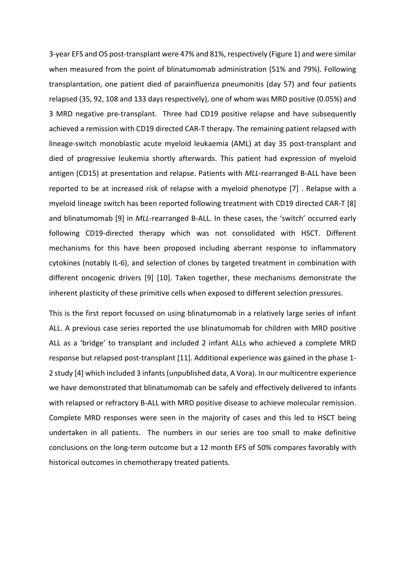3-year EFS and OS post-transplant were 47% and 81%, respectively (Figure 1) and were similar when measured from the point of blinatumomab administration (51% and 79%). Following transplantation, one patient died of parainfluenza pneumonitis (day 57) and four patients relapsed (35, 92, 108 and 133 days respectively), one of whom was MRD positive (0.05%) and 3 MRD negative pre-transplant. Three had CD19 positive relapse and have subsequently achieved a remission with CD19 directed CAR-T therapy. The remaining patient relapsed with lineage-switch monoblastic acute myeloid leukaemia (AML) at day 35 post-transplant and died of progressive leukemia shortly afterwards. This patient had expression of myeloid antigen (CD15) at presentation and relapse. Patients with *MLL*-rearranged B-ALL have been reported to be at increased risk of relapse with a myeloid phenotype [7] . Relapse with a myeloid lineage switch has been reported following treatment with CD19 directed CAR-T [8] and blinatumomab [9] in *MLL*-rearranged B-ALL. In these cases, the 'switch' occurred early following CD19-directed therapy which was not consolidated with HSCT. Different mechanisms for this have been proposed including aberrant response to inflammatory cytokines (notably IL-6), and selection of clones by targeted treatment in combination with different oncogenic drivers [9] [10]. Taken together, these mechanisms demonstrate the inherent plasticity of these primitive cells when exposed to different selection pressures.

This is the first report focussed on using blinatumomab in a relatively large series of infant ALL. A previous case series reported the use blinatumomab for children with MRD positive ALL as a 'bridge' to transplant and included 2 infant ALLs who achieved a complete MRD response but relapsed post-transplant [11]. Additional experience was gained in the phase 1- 2 study [4] which included 3 infants(unpublished data, A Vora). In our multicentre experience we have demonstrated that blinatumomab can be safely and effectively delivered to infants with relapsed or refractory B-ALL with MRD positive disease to achieve molecular remission. Complete MRD responses were seen in the majority of cases and this led to HSCT being undertaken in all patients. The numbers in our series are too small to make definitive conclusions on the long-term outcome but a 12 month EFS of 50% compares favorably with historical outcomes in chemotherapy treated patients.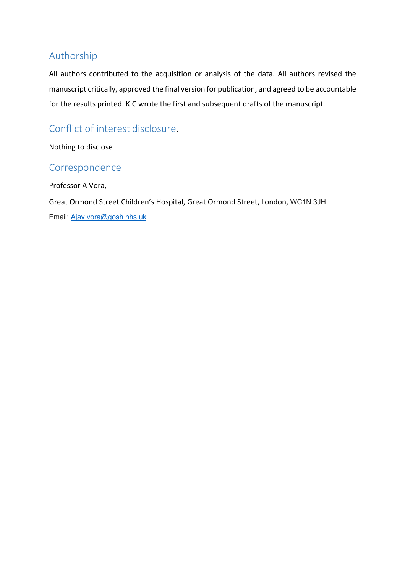## Authorship

All authors contributed to the acquisition or analysis of the data. All authors revised the manuscript critically, approved the final version for publication, and agreed to be accountable for the results printed. K.C wrote the first and subsequent drafts of the manuscript.

# Conflict of interest disclosure**.**

Nothing to disclose

## Correspondence

Professor A Vora,

Great Ormond Street Children's Hospital, Great Ormond Street, London, WC1N 3JH Email: Ajay.vora@gosh.nhs.uk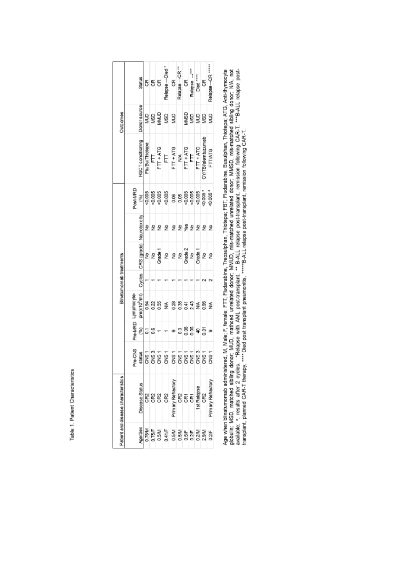Table 1. Patient Characteristics

| <b>Dutcomes</b>                     | Status                                  |                 |        | 5 S S          | Relapse-Died*                                                                                                                                      | CR<br>Relapse -- CR **                                                                                                                                                                                                                                                       |            | CR<br>Relapse -----<br>Died ------<br>CR |             |                    | Relapse-CR *****   |
|-------------------------------------|-----------------------------------------|-----------------|--------|----------------|----------------------------------------------------------------------------------------------------------------------------------------------------|------------------------------------------------------------------------------------------------------------------------------------------------------------------------------------------------------------------------------------------------------------------------------|------------|------------------------------------------|-------------|--------------------|--------------------|
|                                     |                                         |                 |        |                |                                                                                                                                                    |                                                                                                                                                                                                                                                                              |            |                                          |             |                    |                    |
|                                     | Donor source                            |                 |        |                | គ្គ គ្គី គ្គី គ្ន                                                                                                                                  |                                                                                                                                                                                                                                                                              |            |                                          |             | ត្ថិត្តទិនិទ្ធ     |                    |
|                                     | SCT conditioning                        | Flu/Bu/Thiotepa |        |                | $\begin{array}{l} \frac{\text{FIT}}{\text{FIT+ATG}} \\ \frac{\text{FIT+ATG}}{\text{FIT+ATG}} \\ \frac{\text{FIT+ATG}}{\text{FIT+ATG}} \end{array}$ |                                                                                                                                                                                                                                                                              |            |                                          |             | CY/TBI/alemtuzumab | <b>FTT/ATG</b>     |
| Blinatumomab treatments             | Post-MRD                                |                 |        |                |                                                                                                                                                    |                                                                                                                                                                                                                                                                              |            |                                          |             |                    |                    |
|                                     | Neurotoxicity                           |                 |        | 운 운 운          |                                                                                                                                                    | 22222                                                                                                                                                                                                                                                                        |            |                                          |             |                    |                    |
|                                     | CRS (grade)                             |                 |        |                |                                                                                                                                                    |                                                                                                                                                                                                                                                                              |            |                                          |             |                    |                    |
|                                     | Cycles                                  |                 |        |                |                                                                                                                                                    |                                                                                                                                                                                                                                                                              |            |                                          |             |                    |                    |
|                                     | pre(x10 <sup>2</sup> /ml)<br>-ymphocyte |                 |        | 3 8 8<br>0 0 0 |                                                                                                                                                    | $\leq \begin{array}{l} 8 \\ 8 \\ 3 \\ 6 \\ \end{array} \begin{array}{l} 8 \\ 5 \\ 6 \\ 7 \\ 8 \\ \end{array} \begin{array}{l} \pm 4 \\ 4 \\ 5 \\ 6 \\ 7 \\ \end{array} \begin{array}{l} \pm 8 \\ 5 \\ 6 \\ 8 \\ \end{array} \begin{array}{l} \pm 8 \\ 5 \\ 6 \\ \end{array}$ |            |                                          |             |                    |                    |
|                                     | Pre-MRD<br>Ê                            | 5               | es.    |                |                                                                                                                                                    | ማ                                                                                                                                                                                                                                                                            |            | 38895                                    |             |                    | <b>o</b>           |
|                                     | Pre-CNS                                 |                 |        |                |                                                                                                                                                    |                                                                                                                                                                                                                                                                              |            |                                          |             |                    |                    |
| Patient and disease characteristics | Disease Status                          | CR2             |        | 8<br>8<br>8    | CR2                                                                                                                                                | Primary Refractory                                                                                                                                                                                                                                                           | e<br>E E E |                                          | 1st Relapse | CR2                | Primary Refractory |
|                                     | Age/Sex                                 | 0.75/M          | 0.75/F | 0.5M           | 0.41/F                                                                                                                                             | 0.5M                                                                                                                                                                                                                                                                         | 0.5M       | $0.2$ F                                  | 0.2M        |                    | 0.24F              |

Age when blinatumomab administered, M, Male; F, female; FTT, Fludarabine, Treosulphan, Thiotepa; FBT, Fludarabine, Busulphan, Thiotepa; ATG, Anti-thymocyte<br>globulin; MSD, matched sibling donor, MUD, mathoed unrelated donor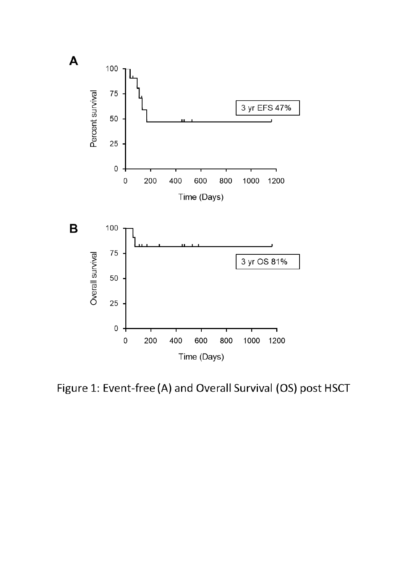

Figure 1: Event-free (A) and Overall Survival (OS) post HSCT